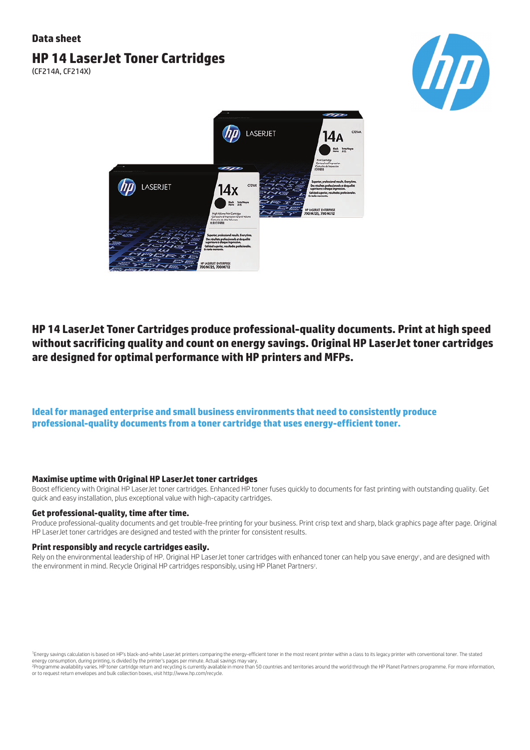## **Data sheet**

# **HP 14 LaserJet Toner Cartridges**

(CF214A, CF214X)





## **HP 14 LaserJet Toner Cartridges produce professional-quality documents. Print at high speed without sacrificing quality and count on energy savings. Original HP LaserJet toner cartridges are designed for optimal performance with HP printers and MFPs.**

## **Ideal for managed enterprise and small business environments that need to consistently produce professional-quality documents from a toner cartridge that uses energy-efficient toner.**

#### **Maximise uptime with Original HP LaserJet toner cartridges**

Boost efficiency with Original HP LaserJet toner cartridges. Enhanced HP toner fuses quickly to documents for fast printing with outstanding quality. Get quick and easy installation, plus exceptional value with high-capacity cartridges.

#### **Get professional-quality, time after time.**

Produce professional-quality documents and get trouble-free printing for your business. Print crisp text and sharp, black graphics page after page. Original HP LaserJet toner cartridges are designed and tested with the printer for consistent results.

#### **Print responsibly and recycle cartridges easily.**

Rely on the environmental leadership of HP. Original HP LaserJet toner cartridges with enhanced toner can help you save energy<sup>,</sup>, and are designed with the environment in mind. Recycle Original HP cartridges responsibly, using HP Planet Partners<sup>2</sup> .

<sup>1</sup>Energy savings calculation is based on HP's black-and-white LaserJet printers comparing the energy-efficient toner in the most recent printer within a class to its legacy printer with conventional toner. The stated energy consumption, during printing, is divided by the printer's pages per minute. Actual savings may vary.

<sup>2</sup>Programme availability varies. HP toner cartridge return and recycling is currently available in more than 50 countries and territories around the world through the HP Planet Partners programme. For more information, or to request return envelopes and bulk collection boxes, visit http://www.hp.com/recycle.